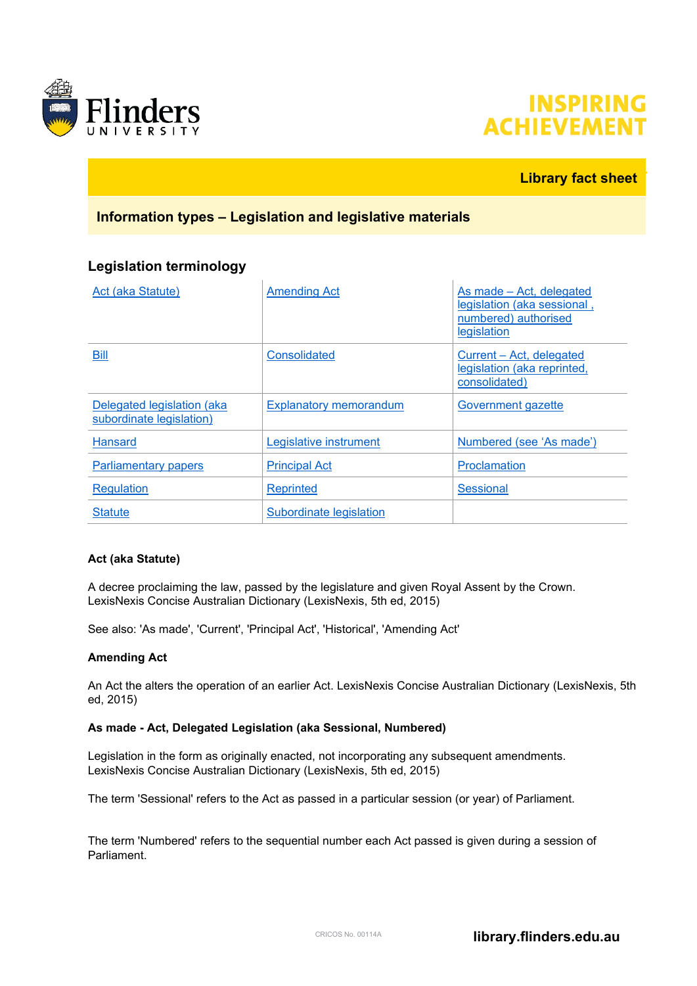



### **Library fact sheet**

### **Information types – Legislation and legislative materials**

### **Legislation terminology**

| Act (aka Statute)                                      | <b>Amending Act</b>           | As made – Act, delegated<br>legislation (aka sessional,<br>numbered) authorised<br>legislation |
|--------------------------------------------------------|-------------------------------|------------------------------------------------------------------------------------------------|
| <b>Bill</b>                                            | <b>Consolidated</b>           | Current - Act, delegated<br>legislation (aka reprinted,<br>consolidated)                       |
| Delegated legislation (aka<br>subordinate legislation) | <b>Explanatory memorandum</b> | Government gazette                                                                             |
| <b>Hansard</b>                                         | Legislative instrument        | Numbered (see 'As made')                                                                       |
| <b>Parliamentary papers</b>                            | <b>Principal Act</b>          | Proclamation                                                                                   |
| <b>Regulation</b>                                      | Reprinted                     | Sessional                                                                                      |
| <b>Statute</b>                                         | Subordinate legislation       |                                                                                                |

#### <span id="page-0-0"></span>**Act (aka Statute)**

A decree proclaiming the law, passed by the legislature and given Royal Assent by the Crown. LexisNexis Concise Australian Dictionary (LexisNexis, 5th ed, 2015)

See also: 'As made', 'Current', 'Principal Act', 'Historical', 'Amending Act'

#### <span id="page-0-1"></span>**Amending Act**

An Act the alters the operation of an earlier Act. LexisNexis Concise Australian Dictionary (LexisNexis, 5th ed, 2015)

#### <span id="page-0-2"></span>**As made - Act, Delegated Legislation (aka Sessional, Numbered)**

Legislation in the form as originally enacted, not incorporating any subsequent amendments. LexisNexis Concise Australian Dictionary (LexisNexis, 5th ed, 2015)

The term 'Sessional' refers to the Act as passed in a particular session (or year) of Parliament.

The term 'Numbered' refers to the sequential number each Act passed is given during a session of Parliament.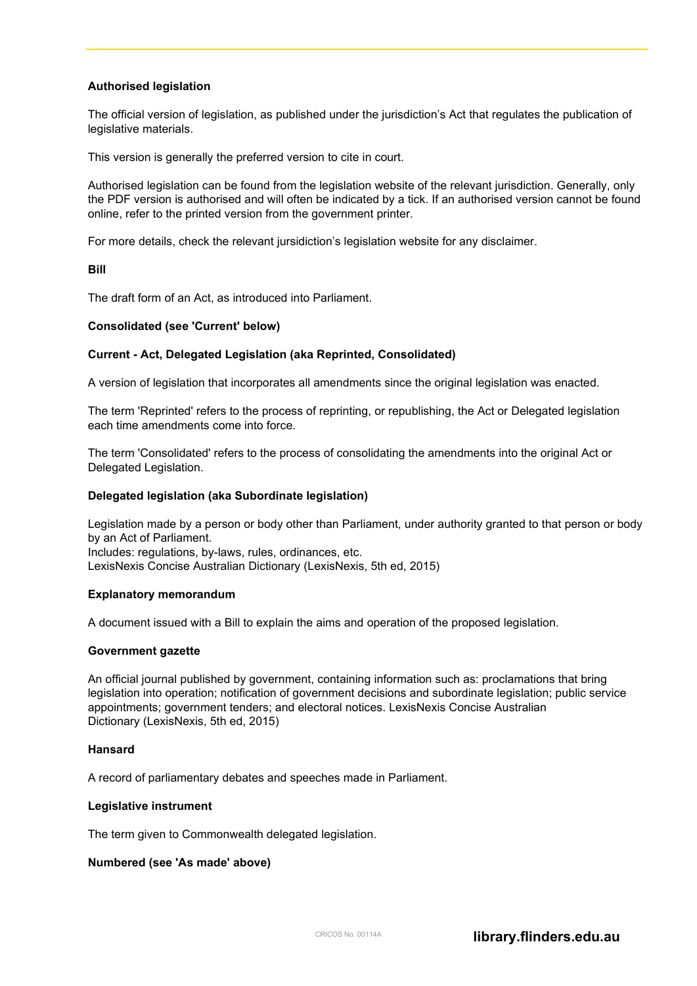#### **Authorised legislation**

The official version of legislation, as published under the jurisdiction's Act that regulates the publication of legislative materials.

This version is generally the preferred version to cite in court.

Authorised legislation can be found from the legislation website of the relevant jurisdiction. Generally, only the PDF version is authorised and will often be indicated by a tick. If an authorised version cannot be found online, refer to the printed version from the government printer.

For more details, check the relevant jursidiction's legislation website for any disclaimer.

#### <span id="page-1-0"></span>**Bill**

The draft form of an Act, as introduced into Parliament.

#### <span id="page-1-1"></span>**Consolidated (see 'Current' below)**

#### **Current - Act, Delegated Legislation (aka Reprinted, Consolidated)**

A version of legislation that incorporates all amendments since the original legislation was enacted.

The term 'Reprinted' refers to the process of reprinting, or republishing, the Act or Delegated legislation each time amendments come into force.

The term 'Consolidated' refers to the process of consolidating the amendments into the original Act or Delegated Legislation.

#### <span id="page-1-2"></span>**Delegated legislation (aka Subordinate legislation)**

Legislation made by a person or body other than Parliament, under authority granted to that person or body by an Act of Parliament. Includes: regulations, by-laws, rules, ordinances, etc.

LexisNexis Concise Australian Dictionary (LexisNexis, 5th ed, 2015)

#### <span id="page-1-3"></span>**Explanatory memorandum**

A document issued with a Bill to explain the aims and operation of the proposed legislation.

#### <span id="page-1-4"></span>**Government gazette**

An official journal published by government, containing information such as: proclamations that bring legislation into operation; notification of government decisions and subordinate legislation; public service appointments; government tenders; and electoral notices. LexisNexis Concise Australian Dictionary (LexisNexis, 5th ed, 2015)

#### <span id="page-1-5"></span>**Hansard**

A record of parliamentary debates and speeches made in Parliament.

#### <span id="page-1-6"></span>**Legislative instrument**

The term given to Commonwealth delegated legislation.

#### <span id="page-1-7"></span>**Numbered (see 'As made' above)**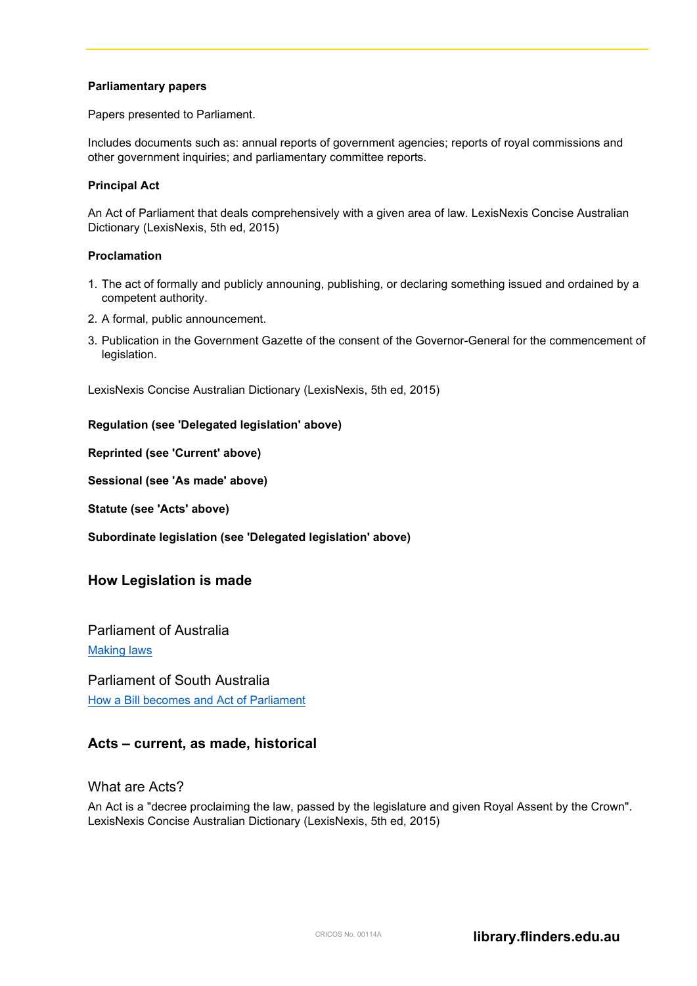#### <span id="page-2-0"></span>**Parliamentary papers**

Papers presented to Parliament.

Includes documents such as: annual reports of government agencies; reports of royal commissions and other government inquiries; and parliamentary committee reports.

#### <span id="page-2-1"></span>**Principal Act**

An Act of Parliament that deals comprehensively with a given area of law. LexisNexis Concise Australian Dictionary (LexisNexis, 5th ed, 2015)

#### <span id="page-2-2"></span>**Proclamation**

- 1. The act of formally and publicly announing, publishing, or declaring something issued and ordained by a competent authority.
- 2. A formal, public announcement.
- 3. Publication in the Government Gazette of the consent of the Governor-General for the commencement of legislation.

LexisNexis Concise Australian Dictionary (LexisNexis, 5th ed, 2015)

#### <span id="page-2-3"></span>**Regulation (see 'Delegated legislation' above)**

<span id="page-2-4"></span>**Reprinted (see 'Current' above)**

**Sessional (see 'As made' above)**

<span id="page-2-5"></span>**Statute (see 'Acts' above)**

<span id="page-2-6"></span>**Subordinate legislation (see 'Delegated legislation' above)**

#### **How Legislation is made**

Parliament of Australia [Making laws](http://www.aph.gov.au/About_Parliament/House_of_Representatives/Powers_practice_and_procedure/00_-_Infosheets/Infosheet_7_-_Making_Laws)

Parliament of South Australia [How a Bill becomes and Act of Parliament](https://peo.gov.au/understand-our-parliament/how-parliament-works/bills-and-laws/making-a-law-in-the-australian-parliament/)

### **Acts – current, as made, historical**

What are Acts?

An Act is a "decree proclaiming the law, passed by the legislature and given Royal Assent by the Crown". LexisNexis Concise Australian Dictionary (LexisNexis, 5th ed, 2015)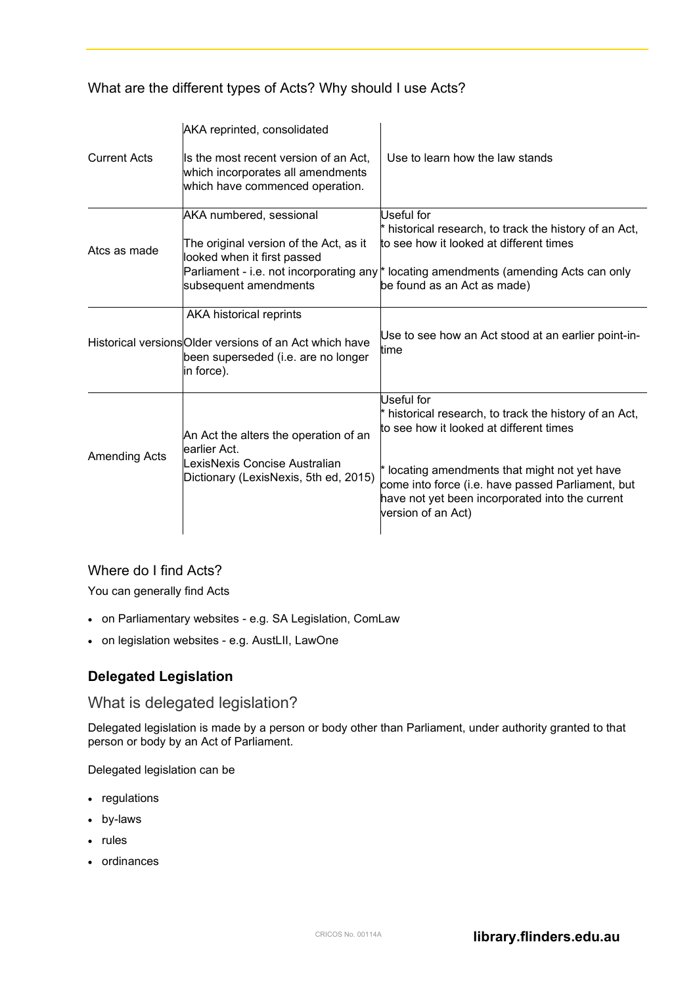What are the different types of Acts? Why should I use Acts?

|                      | AKA reprinted, consolidated                                                                                                             |                                                                                                                                                                                                                                                                                                    |
|----------------------|-----------------------------------------------------------------------------------------------------------------------------------------|----------------------------------------------------------------------------------------------------------------------------------------------------------------------------------------------------------------------------------------------------------------------------------------------------|
| <b>Current Acts</b>  | Is the most recent version of an Act,<br>which incorporates all amendments<br>which have commenced operation.                           | Use to learn how the law stands                                                                                                                                                                                                                                                                    |
| Atcs as made         | AKA numbered, sessional<br>The original version of the Act, as it<br>looked when it first passed<br>subsequent amendments               | Useful for<br>$*$ historical research, to track the history of an Act,<br>to see how it looked at different times<br>Parliament - i.e. not incorporating any * locating amendments (amending Acts can only<br>be found as an Act as made)                                                          |
|                      | AKA historical reprints<br>Historical versions Older versions of an Act which have<br>been superseded (i.e. are no longer<br>in force). | Use to see how an Act stood at an earlier point-in-<br>time                                                                                                                                                                                                                                        |
| <b>Amending Acts</b> | An Act the alters the operation of an<br>learlier Act.<br>LexisNexis Concise Australian<br>Dictionary (LexisNexis, 5th ed, 2015)        | Useful for<br>$*$ historical research, to track the history of an Act,<br>to see how it looked at different times<br>$*$ locating amendments that might not yet have<br>come into force (i.e. have passed Parliament, but<br>have not yet been incorporated into the current<br>version of an Act) |

# Where do I find Acts?

You can generally find Acts

- on Parliamentary websites e.g. SA Legislation, ComLaw
- on legislation websites e.g. AustLII, LawOne

# **Delegated Legislation**

# What is delegated legislation?

Delegated legislation is made by a person or body other than Parliament, under authority granted to that person or body by an Act of Parliament.

Delegated legislation can be

- regulations
- by-laws
- rules
- ordinances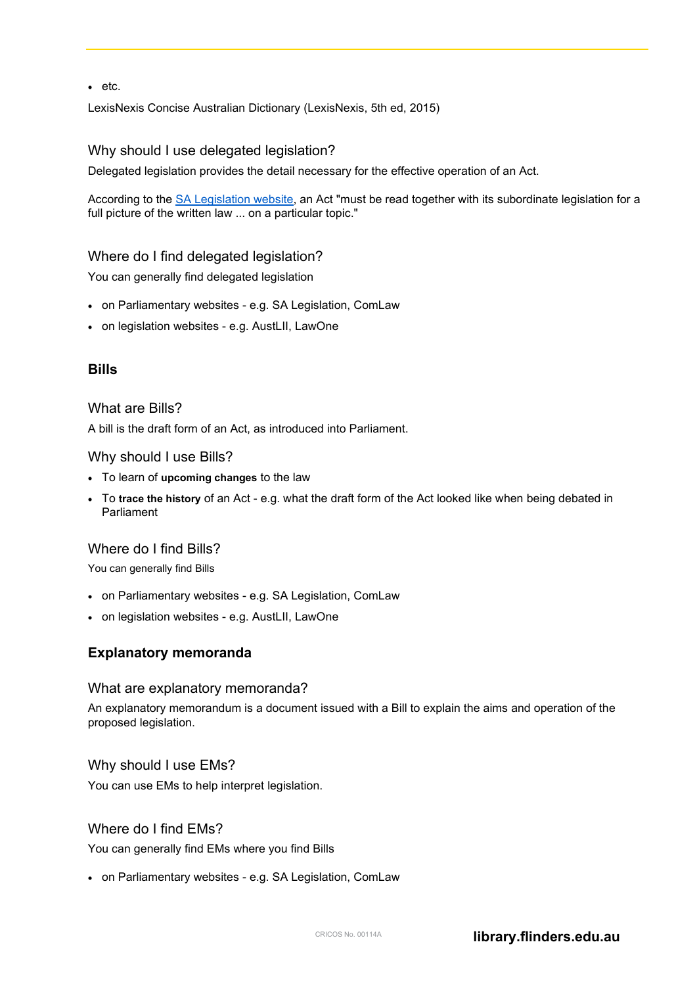• etc.

LexisNexis Concise Australian Dictionary (LexisNexis, 5th ed, 2015)

### Why should I use delegated legislation?

Delegated legislation provides the detail necessary for the effective operation of an Act.

According to the [SA Legislation website,](http://legislation.sa.gov.au/Web/Information/Understanding%20legislation/UnderstandingLegislation.aspx) an Act "must be read together with its subordinate legislation for a full picture of the written law ... on a particular topic."

### Where do I find delegated legislation?

You can generally find delegated legislation

- on Parliamentary websites e.g. SA Legislation, ComLaw
- on legislation websites e.g. AustLII, LawOne

### **Bills**

### What are Bills?

A bill is the draft form of an Act, as introduced into Parliament.

### Why should I use Bills?

- To learn of **upcoming changes** to the law
- To **trace the history** of an Act e.g. what the draft form of the Act looked like when being debated in Parliament

### Where do I find Bills?

You can generally find Bills

- on Parliamentary websites e.g. SA Legislation, ComLaw
- on legislation websites e.g. AustLII, LawOne

# **Explanatory memoranda**

#### What are explanatory memoranda?

An explanatory memorandum is a document issued with a Bill to explain the aims and operation of the proposed legislation.

### Why should I use EMs?

You can use EMs to help interpret legislation.

### Where do I find EMs?

You can generally find EMs where you find Bills

• on Parliamentary websites - e.g. SA Legislation, ComLaw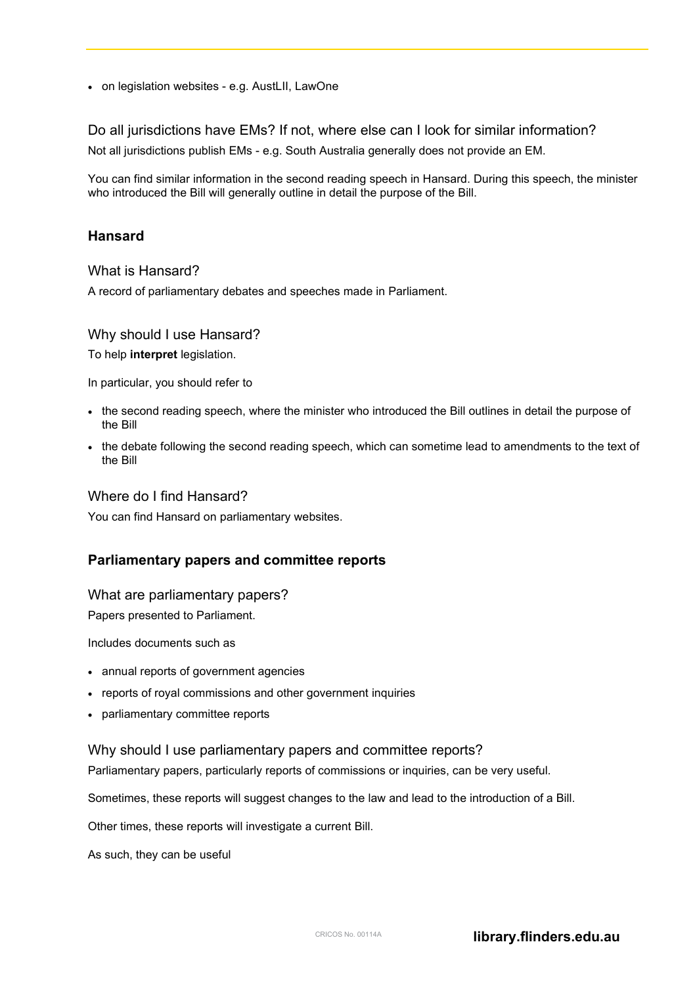• on legislation websites - e.g. AustLII, LawOne

Do all jurisdictions have EMs? If not, where else can I look for similar information? Not all jurisdictions publish EMs - e.g. South Australia generally does not provide an EM.

You can find similar information in the second reading speech in Hansard. During this speech, the minister who introduced the Bill will generally outline in detail the purpose of the Bill.

### **Hansard**

#### What is Hansard?

A record of parliamentary debates and speeches made in Parliament.

### Why should I use Hansard?

To help **interpret** legislation.

In particular, you should refer to

- the second reading speech, where the minister who introduced the Bill outlines in detail the purpose of the Bill
- the debate following the second reading speech, which can sometime lead to amendments to the text of the Bill

#### Where do I find Hansard?

You can find Hansard on parliamentary websites.

# **Parliamentary papers and committee reports**

### What are parliamentary papers?

Papers presented to Parliament.

Includes documents such as

- annual reports of government agencies
- reports of royal commissions and other government inquiries
- parliamentary committee reports

#### Why should I use parliamentary papers and committee reports?

Parliamentary papers, particularly reports of commissions or inquiries, can be very useful.

Sometimes, these reports will suggest changes to the law and lead to the introduction of a Bill.

Other times, these reports will investigate a current Bill.

As such, they can be useful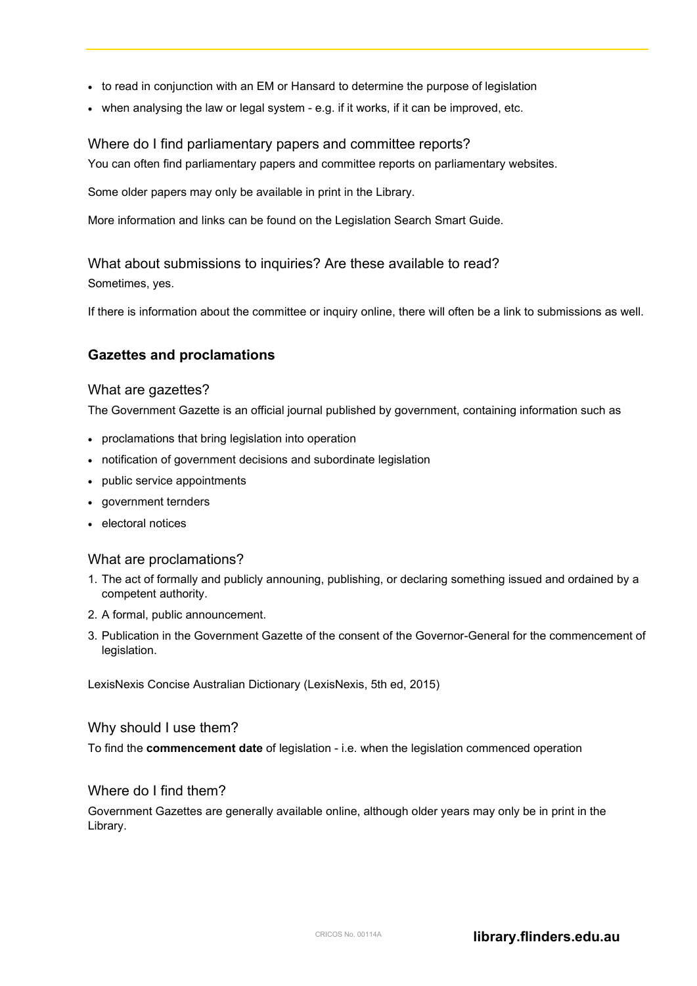- to read in conjunction with an EM or Hansard to determine the purpose of legislation
- when analysing the law or legal system e.g. if it works, if it can be improved, etc.

### Where do I find parliamentary papers and committee reports?

You can often find parliamentary papers and committee reports on parliamentary websites.

Some older papers may only be available in print in the Library.

More information and links can be found on the Legislation Search Smart Guide.

# What about submissions to inquiries? Are these available to read?

Sometimes, yes.

If there is information about the committee or inquiry online, there will often be a link to submissions as well.

### **Gazettes and proclamations**

### What are gazettes?

The Government Gazette is an official journal published by government, containing information such as

- proclamations that bring legislation into operation
- notification of government decisions and subordinate legislation
- public service appointments
- government ternders
- electoral notices

### What are proclamations?

- 1. The act of formally and publicly announing, publishing, or declaring something issued and ordained by a competent authority.
- 2. A formal, public announcement.
- 3. Publication in the Government Gazette of the consent of the Governor-General for the commencement of legislation.

LexisNexis Concise Australian Dictionary (LexisNexis, 5th ed, 2015)

#### Why should I use them?

To find the **commencement date** of legislation - i.e. when the legislation commenced operation

### Where do I find them?

Government Gazettes are generally available online, although older years may only be in print in the Library.